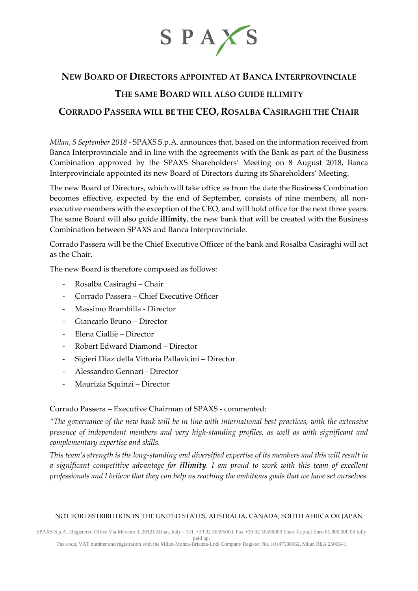

# **NEW BOARD OF DIRECTORS APPOINTED AT BANCA INTERPROVINCIALE**

# **THE SAME BOARD WILL ALSO GUIDE ILLIMITY**

# **CORRADO PASSERA WILL BE THE CEO, ROSALBA CASIRAGHI THE CHAIR**

*Milan*, *5 September 2018* - SPAXS S.p.A. announces that, based on the information received from Banca Interprovinciale and in line with the agreements with the Bank as part of the Business Combination approved by the SPAXS Shareholders' Meeting on 8 August 2018, Banca Interprovinciale appointed its new Board of Directors during its Shareholders' Meeting.

The new Board of Directors, which will take office as from the date the Business Combination becomes effective, expected by the end of September, consists of nine members, all nonexecutive members with the exception of the CEO, and will hold office for the next three years. The same Board will also guide **illimity**, the new bank that will be created with the Business Combination between SPAXS and Banca Interprovinciale.

Corrado Passera will be the Chief Executive Officer of the bank and Rosalba Casiraghi will act as the Chair.

The new Board is therefore composed as follows:

- Rosalba Casiraghi Chair
- Corrado Passera Chief Executive Officer
- Massimo Brambilla Director
- Giancarlo Bruno Director
- Elena Cialliè Director
- Robert Edward Diamond Director
- Sigieri Diaz della Vittoria Pallavicini Director
- Alessandro Gennari Director
- Maurizia Squinzi Director

### Corrado Passera – Executive Chairman of SPAXS - commented:

*"The governance of the new bank will be in line with international best practices, with the extensive presence of independent members and very high-standing profiles, as well as with significant and complementary expertise and skills.*

*This team's strength is the long-standing and diversified expertise of its members and this will result in a significant competitive advantage for illimity. I am proud to work with this team of excellent professionals and I believe that they can help us reaching the ambitious goals that we have set ourselves.*

#### NOT FOR DISTRIBUTION IN THE UNITED STATES, AUSTRALIA, CANADA, SOUTH AFRICA OR JAPAN

SPAXS S.p.A., Registered Office Via Mercato 3, 20121 Milan, Italy – Tel. +39 02 36596000, Fax +39 02 36596000 Share Capital Euro 61,800,000.00 fully paid up.

Tax code, VAT number and registration with the Milan-Monza-Brianza-Lodi Company Register No. 10147580962, Milan REA 2509641